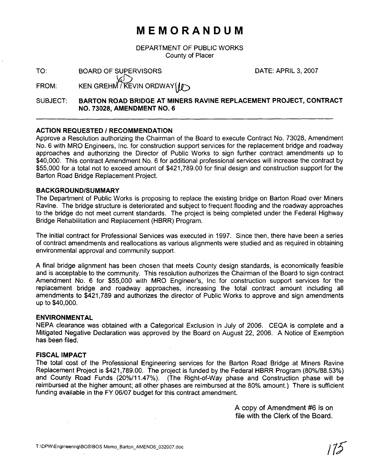## **MEMORANDUM**

DEPARTMENT OF PUBLIC WORKS County of Placer

DATE: APRIL 3,2007

### TO: BOARD OF SUPERVISORS<br>FROM THE REFULSER WAS TODAY FROM: KEN GREHM / KEVIN ORDWAY

SUBJECT: **BARTON ROAD BRIDGE AT MINERS RAVINE REPLACEMENT PROJECT, CONTRACT NO. 73028, AMENDMENT NO. 6** 

#### **ACTION REQUESTED** I **RECOMMENDATION**

Approve a Resolution authorizing the Chairman of the Board to execute Contract No. 73028, Amendment No. 6 with MRO Engineers, Inc, for construction support services for the replacement bridge and roadway approaches and authorizing the Director of Public Works to sign further contract amendments up to \$40,000. This contract Amendment No. 6 for additional professional services will increase the contract by \$55,000 for a total not to exceed amount of \$421,789.00 for final design and construction support for the Barton Road Bridge Replacement Project.

#### **BACKGROUNDISUMMARY**

The Department of Public Works is proposing to replace the existing bridge on Barton Road over Miners Ravine. The bridge structure is deteriorated and subject to frequent flooding and the roadway approaches to the bridge do not meet current standards. The project is being completed under the Federal Highway Bridge Rehabilitation and Replacement (HBRR) Program.

The initial contract for Professional Services was executed in 1997. Since then, there have been a series of contract amendments and reallocations as various alignments were studied and as required in obtaining environmental approval and community support.

A final bridge alignment has been chosen that meets County design standards, is economically feasible and is acceptable to the community. This resolution authorizes the Chairman of the Board to sign contract Amendment No. 6 for \$55,000 with MRO Engineer's, Inc for construction support services for the replacement bridge and roadway approaches, increasing the total contract amount including all amendments to \$421,789 and authorizes the director of Public Works to approve and sign amendments up to \$40,000.

#### **ENVIRONMENTAL**

NEPA clearance was obtained with a Categorical Exclusion in July of 2006. CEQA is complete and a Mitigated Negative Declaration was approved by the Board on August 22, 2006. A Notice of Exemption has been filed.

#### **FISCAL IMPACT**

The total cost of the Professional Engineering services for the Barton Road Bridge at Miners Ravine Replacement Project is \$421,789.00. The project is funded by the Federal HBRR Program (80%/88.53%) and County Road Funds (20%/11.47%). (The Right-of-way phase and Construction phase will be reimbursed at the higher amount; all other phases are reimbursed at the 80% amount.) There is sufficient funding available in the FY 06/07 budget for this contract amendment.

> A copy of Amendment **#6** is on file with the Clerk of the Board.